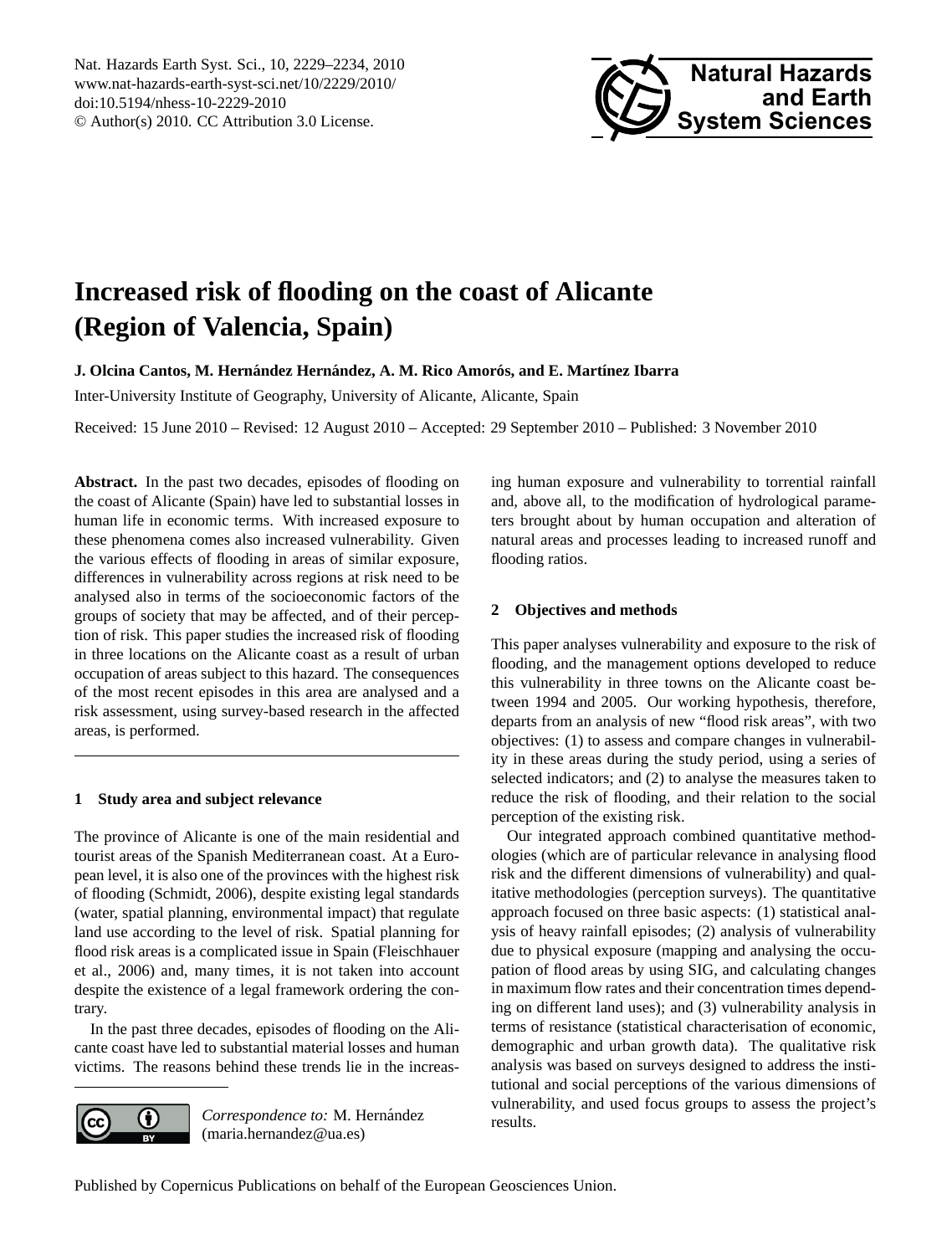<span id="page-0-0"></span>Nat. Hazards Earth Syst. Sci., 10, 2229–2234, 2010 www.nat-hazards-earth-syst-sci.net/10/2229/2010/ doi:10.5194/nhess-10-2229-2010 © Author(s) 2010. CC Attribution 3.0 License.



# **Increased risk of flooding on the coast of Alicante (Region of Valencia, Spain)**

**J. Olcina Cantos, M. Hernandez Hern ´ andez, A. M. Rico Amor ´ os, and E. Mart ´ ´ınez Ibarra**

Inter-University Institute of Geography, University of Alicante, Alicante, Spain

Received: 15 June 2010 – Revised: 12 August 2010 – Accepted: 29 September 2010 – Published: 3 November 2010

Abstract. In the past two decades, episodes of flooding on the coast of Alicante (Spain) have led to substantial losses in human life in economic terms. With increased exposure to these phenomena comes also increased vulnerability. Given the various effects of flooding in areas of similar exposure, differences in vulnerability across regions at risk need to be analysed also in terms of the socioeconomic factors of the groups of society that may be affected, and of their perception of risk. This paper studies the increased risk of flooding in three locations on the Alicante coast as a result of urban occupation of areas subject to this hazard. The consequences of the most recent episodes in this area are analysed and a risk assessment, using survey-based research in the affected areas, is performed.

#### **1 Study area and subject relevance**

The province of Alicante is one of the main residential and tourist areas of the Spanish Mediterranean coast. At a European level, it is also one of the provinces with the highest risk of flooding (Schmidt, 2006), despite existing legal standards (water, spatial planning, environmental impact) that regulate land use according to the level of risk. Spatial planning for flood risk areas is a complicated issue in Spain (Fleischhauer et al., 2006) and, many times, it is not taken into account despite the existence of a legal framework ordering the contrary.

In the past three decades, episodes of flooding on the Alicante coast have led to substantial material losses and human victims. The reasons behind these trends lie in the increas-



*Correspondence to: M. Hernández* (maria.hernandez@ua.es)

ing human exposure and vulnerability to torrential rainfall and, above all, to the modification of hydrological parameters brought about by human occupation and alteration of natural areas and processes leading to increased runoff and flooding ratios.

#### **2 Objectives and methods**

This paper analyses vulnerability and exposure to the risk of flooding, and the management options developed to reduce this vulnerability in three towns on the Alicante coast between 1994 and 2005. Our working hypothesis, therefore, departs from an analysis of new "flood risk areas", with two objectives: (1) to assess and compare changes in vulnerability in these areas during the study period, using a series of selected indicators; and (2) to analyse the measures taken to reduce the risk of flooding, and their relation to the social perception of the existing risk.

Our integrated approach combined quantitative methodologies (which are of particular relevance in analysing flood risk and the different dimensions of vulnerability) and qualitative methodologies (perception surveys). The quantitative approach focused on three basic aspects: (1) statistical analysis of heavy rainfall episodes; (2) analysis of vulnerability due to physical exposure (mapping and analysing the occupation of flood areas by using SIG, and calculating changes in maximum flow rates and their concentration times depending on different land uses); and (3) vulnerability analysis in terms of resistance (statistical characterisation of economic, demographic and urban growth data). The qualitative risk analysis was based on surveys designed to address the institutional and social perceptions of the various dimensions of vulnerability, and used focus groups to assess the project's results.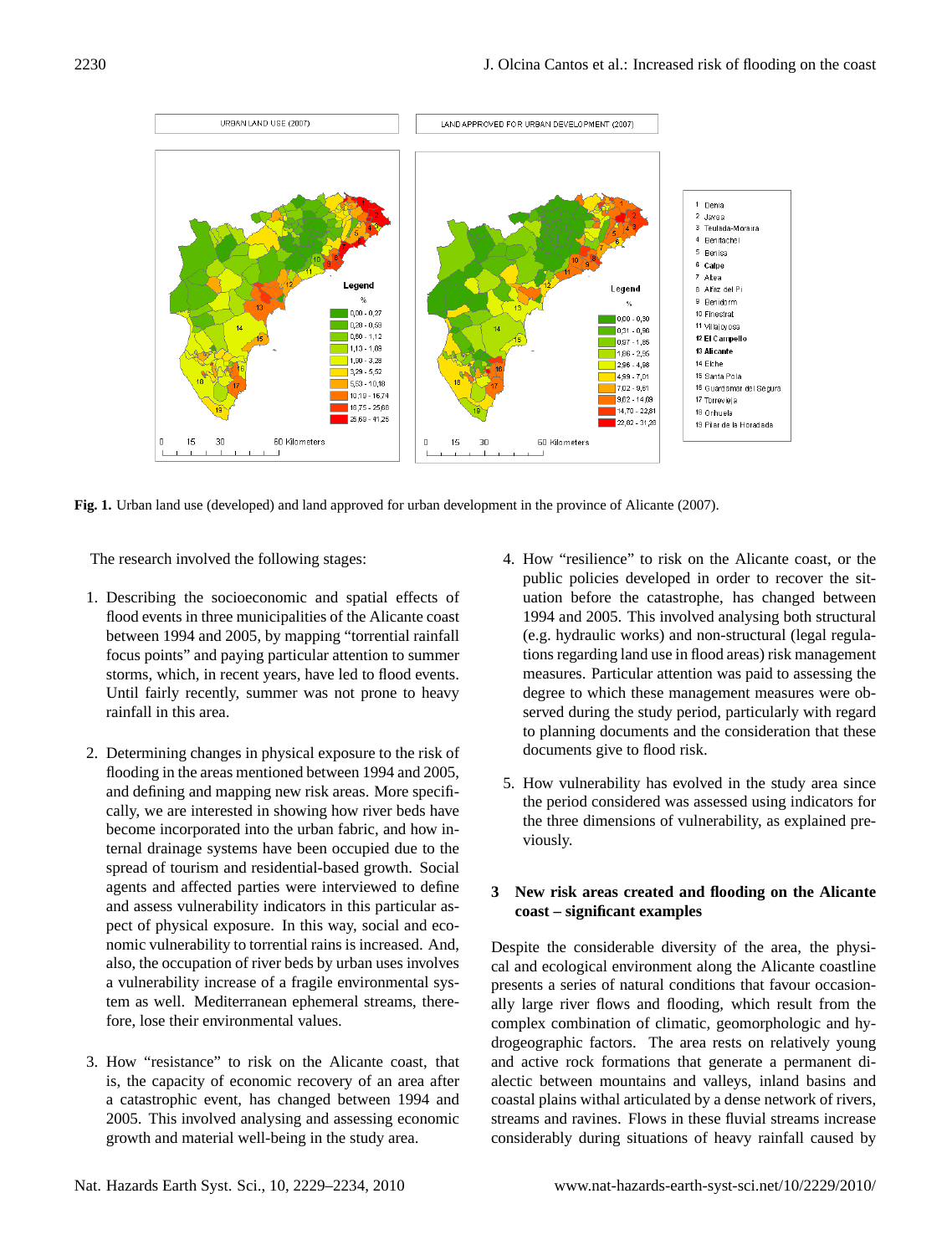

**Fig. 1.** Urban land use (developed) and land approved for urban development in the province of Alicante (2007).

The research involved the following stages:

- 1. Describing the socioeconomic and spatial effects of flood events in three municipalities of the Alicante coast between 1994 and 2005, by mapping "torrential rainfall focus points" and paying particular attention to summer storms, which, in recent years, have led to flood events. Until fairly recently, summer was not prone to heavy rainfall in this area.
- 2. Determining changes in physical exposure to the risk of flooding in the areas mentioned between 1994 and 2005, and defining and mapping new risk areas. More specifically, we are interested in showing how river beds have become incorporated into the urban fabric, and how internal drainage systems have been occupied due to the spread of tourism and residential-based growth. Social agents and affected parties were interviewed to define and assess vulnerability indicators in this particular aspect of physical exposure. In this way, social and economic vulnerability to torrential rains is increased. And, also, the occupation of river beds by urban uses involves a vulnerability increase of a fragile environmental system as well. Mediterranean ephemeral streams, therefore, lose their environmental values.
- 3. How "resistance" to risk on the Alicante coast, that is, the capacity of economic recovery of an area after a catastrophic event, has changed between 1994 and 2005. This involved analysing and assessing economic growth and material well-being in the study area.
- Fig. 1. The contract of Alicante Contract of Alicante Contract of Alicante Contract of Alicante Contract of the sit-4. How "resilience" to risk on the Alicante coast, or the uation before the catastrophe, has changed between 1994 and 2005. This involved analysing both structural (e.g. hydraulic works) and non-structural (legal regulations regarding land use in flood areas) risk management measures. Particular attention was paid to assessing the degree to which these management measures were observed during the study period, particularly with regard to planning documents and the consideration that these documents give to flood risk.
	- 5. How vulnerability has evolved in the study area since the period considered was assessed using indicators for the three dimensions of vulnerability, as explained previously.

# **3 New risk areas created and flooding on the Alicante coast – significant examples**

Despite the considerable diversity of the area, the physical and ecological environment along the Alicante coastline presents a series of natural conditions that favour occasionally large river flows and flooding, which result from the complex combination of climatic, geomorphologic and hydrogeographic factors. The area rests on relatively young and active rock formations that generate a permanent dialectic between mountains and valleys, inland basins and coastal plains withal articulated by a dense network of rivers, streams and ravines. Flows in these fluvial streams increase considerably during situations of heavy rainfall caused by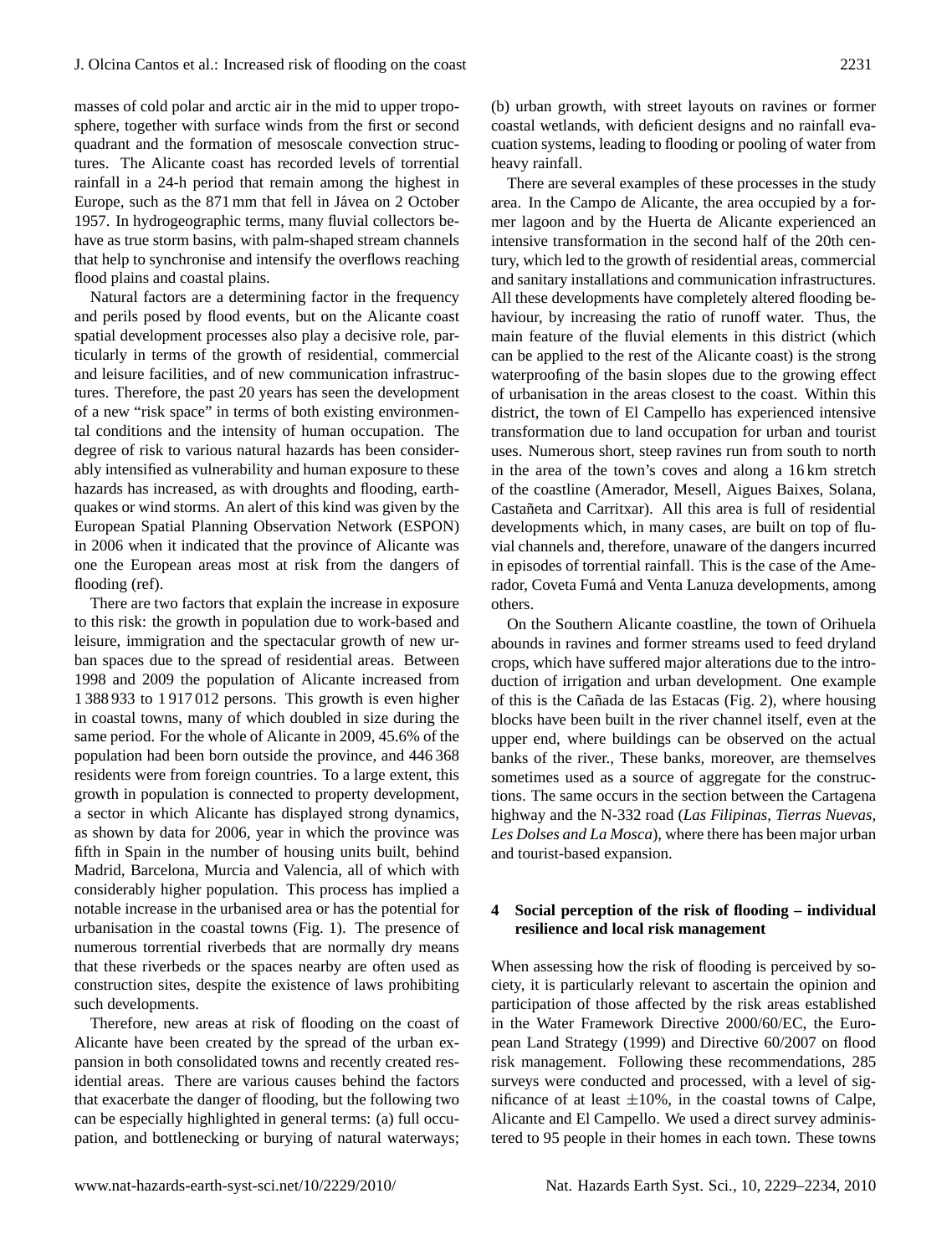masses of cold polar and arctic air in the mid to upper troposphere, together with surface winds from the first or second quadrant and the formation of mesoscale convection structures. The Alicante coast has recorded levels of torrential rainfall in a 24-h period that remain among the highest in Europe, such as the 871 mm that fell in Jávea on 2 October 1957. In hydrogeographic terms, many fluvial collectors behave as true storm basins, with palm-shaped stream channels that help to synchronise and intensify the overflows reaching flood plains and coastal plains.

Natural factors are a determining factor in the frequency and perils posed by flood events, but on the Alicante coast spatial development processes also play a decisive role, particularly in terms of the growth of residential, commercial and leisure facilities, and of new communication infrastructures. Therefore, the past 20 years has seen the development of a new "risk space" in terms of both existing environmental conditions and the intensity of human occupation. The degree of risk to various natural hazards has been considerably intensified as vulnerability and human exposure to these hazards has increased, as with droughts and flooding, earthquakes or wind storms. An alert of this kind was given by the European Spatial Planning Observation Network (ESPON) in 2006 when it indicated that the province of Alicante was one the European areas most at risk from the dangers of flooding (ref).

There are two factors that explain the increase in exposure to this risk: the growth in population due to work-based and leisure, immigration and the spectacular growth of new urban spaces due to the spread of residential areas. Between 1998 and 2009 the population of Alicante increased from 1 388 933 to 1 917 012 persons. This growth is even higher in coastal towns, many of which doubled in size during the same period. For the whole of Alicante in 2009, 45.6% of the population had been born outside the province, and 446 368 residents were from foreign countries. To a large extent, this growth in population is connected to property development, a sector in which Alicante has displayed strong dynamics, as shown by data for 2006, year in which the province was fifth in Spain in the number of housing units built, behind Madrid, Barcelona, Murcia and Valencia, all of which with considerably higher population. This process has implied a notable increase in the urbanised area or has the potential for urbanisation in the coastal towns (Fig. 1). The presence of numerous torrential riverbeds that are normally dry means that these riverbeds or the spaces nearby are often used as construction sites, despite the existence of laws prohibiting such developments.

Therefore, new areas at risk of flooding on the coast of Alicante have been created by the spread of the urban expansion in both consolidated towns and recently created residential areas. There are various causes behind the factors that exacerbate the danger of flooding, but the following two can be especially highlighted in general terms: (a) full occupation, and bottlenecking or burying of natural waterways;

(b) urban growth, with street layouts on ravines or former coastal wetlands, with deficient designs and no rainfall evacuation systems, leading to flooding or pooling of water from heavy rainfall.

There are several examples of these processes in the study area. In the Campo de Alicante, the area occupied by a former lagoon and by the Huerta de Alicante experienced an intensive transformation in the second half of the 20th century, which led to the growth of residential areas, commercial and sanitary installations and communication infrastructures. All these developments have completely altered flooding behaviour, by increasing the ratio of runoff water. Thus, the main feature of the fluvial elements in this district (which can be applied to the rest of the Alicante coast) is the strong waterproofing of the basin slopes due to the growing effect of urbanisation in the areas closest to the coast. Within this district, the town of El Campello has experienced intensive transformation due to land occupation for urban and tourist uses. Numerous short, steep ravines run from south to north in the area of the town's coves and along a 16 km stretch of the coastline (Amerador, Mesell, Aigues Baixes, Solana, Castañeta and Carritxar). All this area is full of residential developments which, in many cases, are built on top of fluvial channels and, therefore, unaware of the dangers incurred in episodes of torrential rainfall. This is the case of the Amerador, Coveta Fumá and Venta Lanuza developments, among others.

On the Southern Alicante coastline, the town of Orihuela abounds in ravines and former streams used to feed dryland crops, which have suffered major alterations due to the introduction of irrigation and urban development. One example of this is the Cañada de las Estacas (Fig. 2), where housing blocks have been built in the river channel itself, even at the upper end, where buildings can be observed on the actual banks of the river., These banks, moreover, are themselves sometimes used as a source of aggregate for the constructions. The same occurs in the section between the Cartagena highway and the N-332 road (*Las Filipinas, Tierras Nuevas, Les Dolses and La Mosca*), where there has been major urban and tourist-based expansion.

# **4 Social perception of the risk of flooding – individual resilience and local risk management**

When assessing how the risk of flooding is perceived by society, it is particularly relevant to ascertain the opinion and participation of those affected by the risk areas established in the Water Framework Directive 2000/60/EC, the European Land Strategy (1999) and Directive 60/2007 on flood risk management. Following these recommendations, 285 surveys were conducted and processed, with a level of significance of at least  $\pm 10\%$ , in the coastal towns of Calpe, Alicante and El Campello. We used a direct survey administered to 95 people in their homes in each town. These towns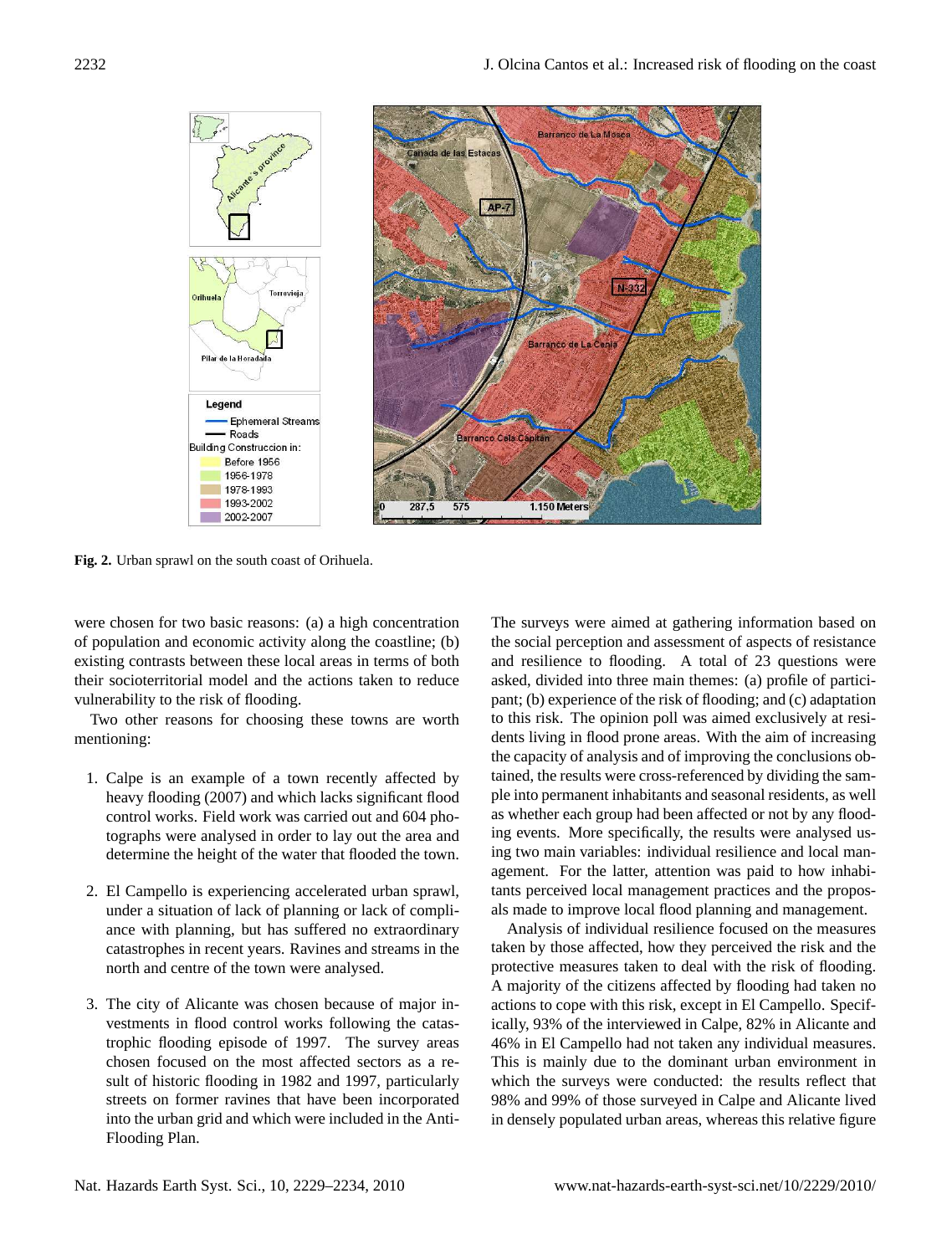

**Fig. 2.** Urban sprawl on the south coast of Orihuela.

were chosen for two basic reasons: (a) a high concentration of population and economic activity along the coastline; (b) existing contrasts between these local areas in terms of both their socioterritorial model and the actions taken to reduce vulnerability to the risk of flooding.

Two other reasons for choosing these towns are worth mentioning:

- 1. Calpe is an example of a town recently affected by heavy flooding (2007) and which lacks significant flood control works. Field work was carried out and 604 photographs were analysed in order to lay out the area and determine the height of the water that flooded the town.
- 2. El Campello is experiencing accelerated urban sprawl, under a situation of lack of planning or lack of compliance with planning, but has suffered no extraordinary catastrophes in recent years. Ravines and streams in the north and centre of the town were analysed.
- 3. The city of Alicante was chosen because of major investments in flood control works following the catastrophic flooding episode of 1997. The survey areas chosen focused on the most affected sectors as a result of historic flooding in 1982 and 1997, particularly streets on former ravines that have been incorporated into the urban grid and which were included in the Anti-Flooding Plan.

The surveys were aimed at gathering information based on the social perception and assessment of aspects of resistance and resilience to flooding. A total of 23 questions were asked, divided into three main themes: (a) profile of participant; (b) experience of the risk of flooding; and (c) adaptation to this risk. The opinion poll was aimed exclusively at residents living in flood prone areas. With the aim of increasing the capacity of analysis and of improving the conclusions obtained, the results were cross-referenced by dividing the sample into permanent inhabitants and seasonal residents, as well as whether each group had been affected or not by any flooding events. More specifically, the results were analysed using two main variables: individual resilience and local management. For the latter, attention was paid to how inhabitants perceived local management practices and the proposals made to improve local flood planning and management.

Analysis of individual resilience focused on the measures taken by those affected, how they perceived the risk and the protective measures taken to deal with the risk of flooding. A majority of the citizens affected by flooding had taken no actions to cope with this risk, except in El Campello. Specifically, 93% of the interviewed in Calpe, 82% in Alicante and 46% in El Campello had not taken any individual measures. This is mainly due to the dominant urban environment in which the surveys were conducted: the results reflect that 98% and 99% of those surveyed in Calpe and Alicante lived in densely populated urban areas, whereas this relative figure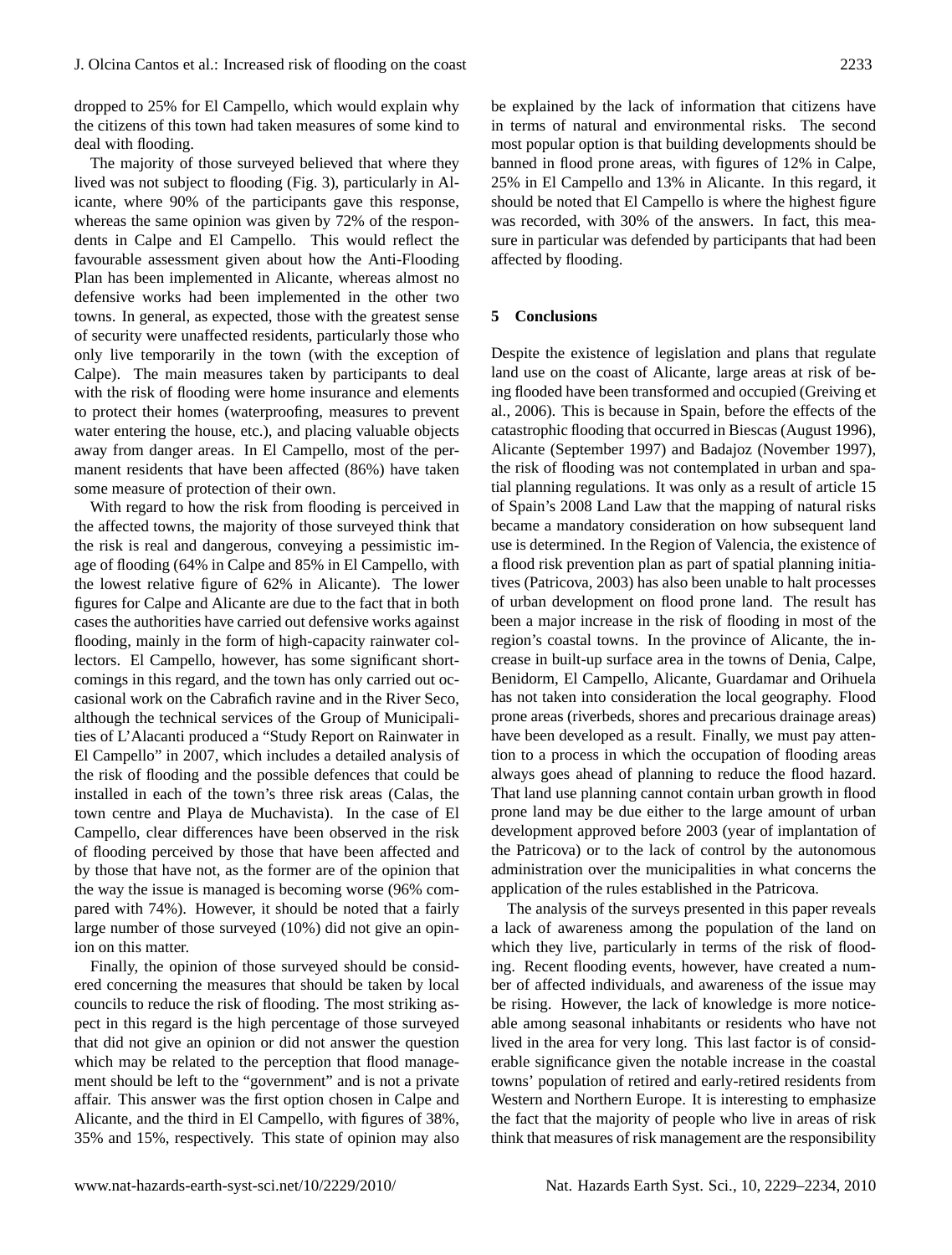dropped to 25% for El Campello, which would explain why the citizens of this town had taken measures of some kind to deal with flooding.

The majority of those surveyed believed that where they lived was not subject to flooding (Fig. 3), particularly in Alicante, where 90% of the participants gave this response, whereas the same opinion was given by 72% of the respondents in Calpe and El Campello. This would reflect the favourable assessment given about how the Anti-Flooding Plan has been implemented in Alicante, whereas almost no defensive works had been implemented in the other two towns. In general, as expected, those with the greatest sense of security were unaffected residents, particularly those who only live temporarily in the town (with the exception of Calpe). The main measures taken by participants to deal with the risk of flooding were home insurance and elements to protect their homes (waterproofing, measures to prevent water entering the house, etc.), and placing valuable objects away from danger areas. In El Campello, most of the permanent residents that have been affected (86%) have taken some measure of protection of their own.

With regard to how the risk from flooding is perceived in the affected towns, the majority of those surveyed think that the risk is real and dangerous, conveying a pessimistic image of flooding (64% in Calpe and 85% in El Campello, with the lowest relative figure of 62% in Alicante). The lower figures for Calpe and Alicante are due to the fact that in both cases the authorities have carried out defensive works against flooding, mainly in the form of high-capacity rainwater collectors. El Campello, however, has some significant shortcomings in this regard, and the town has only carried out occasional work on the Cabrafich ravine and in the River Seco, although the technical services of the Group of Municipalities of L'Alacanti produced a "Study Report on Rainwater in El Campello" in 2007, which includes a detailed analysis of the risk of flooding and the possible defences that could be installed in each of the town's three risk areas (Calas, the town centre and Playa de Muchavista). In the case of El Campello, clear differences have been observed in the risk of flooding perceived by those that have been affected and by those that have not, as the former are of the opinion that the way the issue is managed is becoming worse (96% compared with 74%). However, it should be noted that a fairly large number of those surveyed (10%) did not give an opinion on this matter.

Finally, the opinion of those surveyed should be considered concerning the measures that should be taken by local councils to reduce the risk of flooding. The most striking aspect in this regard is the high percentage of those surveyed that did not give an opinion or did not answer the question which may be related to the perception that flood management should be left to the "government" and is not a private affair. This answer was the first option chosen in Calpe and Alicante, and the third in El Campello, with figures of 38%, 35% and 15%, respectively. This state of opinion may also be explained by the lack of information that citizens have in terms of natural and environmental risks. The second most popular option is that building developments should be banned in flood prone areas, with figures of 12% in Calpe, 25% in El Campello and 13% in Alicante. In this regard, it should be noted that El Campello is where the highest figure was recorded, with 30% of the answers. In fact, this measure in particular was defended by participants that had been affected by flooding.

## **5 Conclusions**

Despite the existence of legislation and plans that regulate land use on the coast of Alicante, large areas at risk of being flooded have been transformed and occupied (Greiving et al., 2006). This is because in Spain, before the effects of the catastrophic flooding that occurred in Biescas (August 1996), Alicante (September 1997) and Badajoz (November 1997), the risk of flooding was not contemplated in urban and spatial planning regulations. It was only as a result of article 15 of Spain's 2008 Land Law that the mapping of natural risks became a mandatory consideration on how subsequent land use is determined. In the Region of Valencia, the existence of a flood risk prevention plan as part of spatial planning initiatives (Patricova, 2003) has also been unable to halt processes of urban development on flood prone land. The result has been a major increase in the risk of flooding in most of the region's coastal towns. In the province of Alicante, the increase in built-up surface area in the towns of Denia, Calpe, Benidorm, El Campello, Alicante, Guardamar and Orihuela has not taken into consideration the local geography. Flood prone areas (riverbeds, shores and precarious drainage areas) have been developed as a result. Finally, we must pay attention to a process in which the occupation of flooding areas always goes ahead of planning to reduce the flood hazard. That land use planning cannot contain urban growth in flood prone land may be due either to the large amount of urban development approved before 2003 (year of implantation of the Patricova) or to the lack of control by the autonomous administration over the municipalities in what concerns the application of the rules established in the Patricova.

The analysis of the surveys presented in this paper reveals a lack of awareness among the population of the land on which they live, particularly in terms of the risk of flooding. Recent flooding events, however, have created a number of affected individuals, and awareness of the issue may be rising. However, the lack of knowledge is more noticeable among seasonal inhabitants or residents who have not lived in the area for very long. This last factor is of considerable significance given the notable increase in the coastal towns' population of retired and early-retired residents from Western and Northern Europe. It is interesting to emphasize the fact that the majority of people who live in areas of risk think that measures of risk management are the responsibility